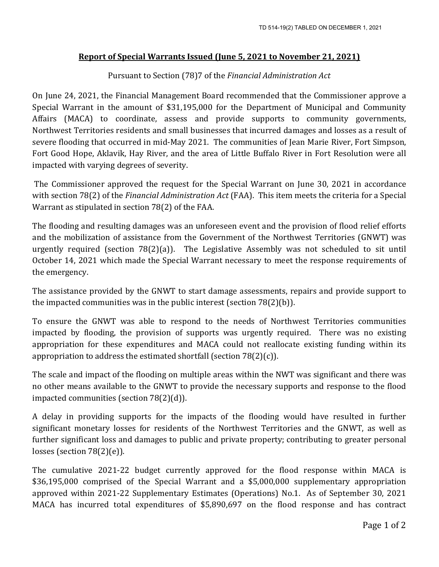## **Report of Special Warrants Issued (June 5, 2021 to November 21, 2021)**

## Pursuant to Section (78)7 of the *Financial Administration Act*

On June 24, 2021, the Financial Management Board recommended that the Commissioner approve a Special Warrant in the amount of \$31,195,000 for the Department of Municipal and Community Affairs (MACA) to coordinate, assess and provide supports to community governments, Northwest Territories residents and small businesses that incurred damages and losses as a result of severe flooding that occurred in mid-May 2021. The communities of Jean Marie River, Fort Simpson, Fort Good Hope, Aklavik, Hay River, and the area of Little Buffalo River in Fort Resolution were all impacted with varying degrees of severity.

The Commissioner approved the request for the Special Warrant on June 30, 2021 in accordance with section 78(2) of the *Financial Administration Act* (FAA). This item meets the criteria for a Special Warrant as stipulated in section 78(2) of the FAA.

The flooding and resulting damages was an unforeseen event and the provision of flood relief efforts and the mobilization of assistance from the Government of the Northwest Territories (GNWT) was urgently required (section  $78(2)(a)$ ). The Legislative Assembly was not scheduled to sit until October 14, 2021 which made the Special Warrant necessary to meet the response requirements of the emergency.

The assistance provided by the GNWT to start damage assessments, repairs and provide support to the impacted communities was in the public interest (section 78(2)(b)).

To ensure the GNWT was able to respond to the needs of Northwest Territories communities impacted by flooding, the provision of supports was urgently required. There was no existing appropriation for these expenditures and MACA could not reallocate existing funding within its appropriation to address the estimated shortfall (section  $78(2)(c)$ ).

The scale and impact of the flooding on multiple areas within the NWT was significant and there was no other means available to the GNWT to provide the necessary supports and response to the flood impacted communities (section 78(2)(d)).

A delay in providing supports for the impacts of the flooding would have resulted in further significant monetary losses for residents of the Northwest Territories and the GNWT, as well as further significant loss and damages to public and private property; contributing to greater personal losses (section 78(2)(e)).

The cumulative 2021-22 budget currently approved for the flood response within MACA is \$36,195,000 comprised of the Special Warrant and a \$5,000,000 supplementary appropriation approved within 2021-22 Supplementary Estimates (Operations) No.1. As of September 30, 2021 MACA has incurred total expenditures of \$5,890,697 on the flood response and has contract